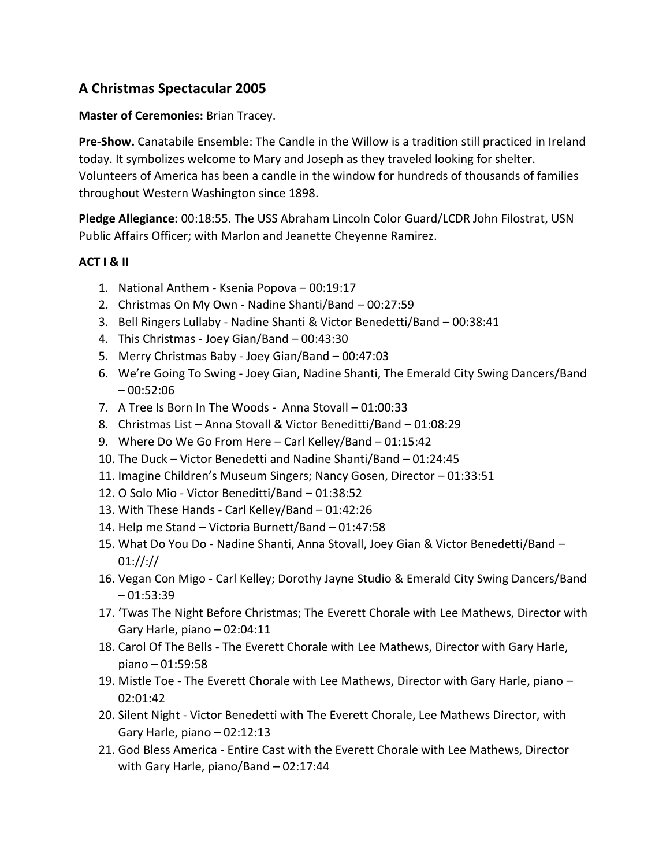## **A Christmas Spectacular 2005**

## **Master of Ceremonies:** Brian Tracey.

**Pre-Show.** Canatabile Ensemble: The Candle in the Willow is a tradition still practiced in Ireland today. It symbolizes welcome to Mary and Joseph as they traveled looking for shelter. Volunteers of America has been a candle in the window for hundreds of thousands of families throughout Western Washington since 1898.

**Pledge Allegiance:** 00:18:55. The USS Abraham Lincoln Color Guard/LCDR John Filostrat, USN Public Affairs Officer; with Marlon and Jeanette Cheyenne Ramirez.

## **ACT I & II**

- 1. National Anthem Ksenia Popova 00:19:17
- 2. Christmas On My Own Nadine Shanti/Band 00:27:59
- 3. Bell Ringers Lullaby Nadine Shanti & Victor Benedetti/Band 00:38:41
- 4. This Christmas Joey Gian/Band 00:43:30
- 5. Merry Christmas Baby Joey Gian/Band 00:47:03
- 6. We're Going To Swing Joey Gian, Nadine Shanti, The Emerald City Swing Dancers/Band  $-00:52:06$
- 7. A Tree Is Born In The Woods Anna Stovall 01:00:33
- 8. Christmas List Anna Stovall & Victor Beneditti/Band 01:08:29
- 9. Where Do We Go From Here Carl Kelley/Band 01:15:42
- 10. The Duck Victor Benedetti and Nadine Shanti/Band 01:24:45
- 11. Imagine Children's Museum Singers; Nancy Gosen, Director 01:33:51
- 12. O Solo Mio Victor Beneditti/Band 01:38:52
- 13. With These Hands Carl Kelley/Band 01:42:26
- 14. Help me Stand Victoria Burnett/Band 01:47:58
- 15. What Do You Do Nadine Shanti, Anna Stovall, Joey Gian & Victor Benedetti/Band 01://://
- 16. Vegan Con Migo Carl Kelley; Dorothy Jayne Studio & Emerald City Swing Dancers/Band  $-01:53:39$
- 17. 'Twas The Night Before Christmas; The Everett Chorale with Lee Mathews, Director with Gary Harle, piano – 02:04:11
- 18. Carol Of The Bells The Everett Chorale with Lee Mathews, Director with Gary Harle, piano – 01:59:58
- 19. Mistle Toe The Everett Chorale with Lee Mathews, Director with Gary Harle, piano 02:01:42
- 20. Silent Night Victor Benedetti with The Everett Chorale, Lee Mathews Director, with Gary Harle, piano – 02:12:13
- 21. God Bless America Entire Cast with the Everett Chorale with Lee Mathews, Director with Gary Harle, piano/Band – 02:17:44